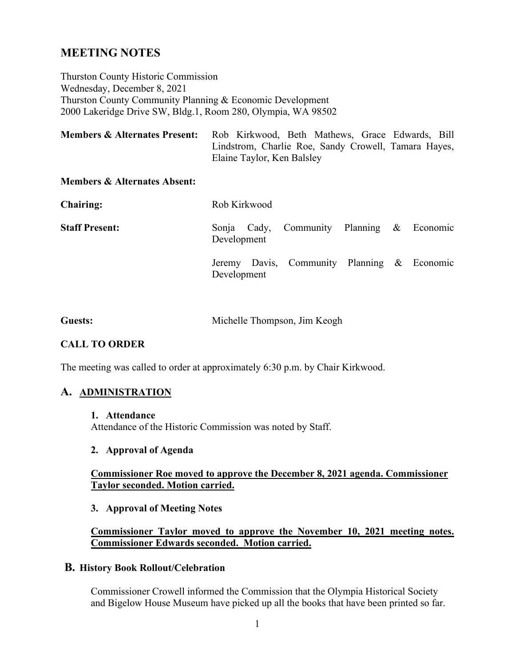# **MEETING NOTES**

Thurston County Historic Commission Wednesday, December 8, 2021 Thurston County Community Planning & Economic Development 2000 Lakeridge Drive SW, Bldg.1, Room 280, Olympia, WA 98502

| <b>Members &amp; Alternates Present:</b> | Rob Kirkwood, Beth Mathews, Grace Edwards, Bill      |
|------------------------------------------|------------------------------------------------------|
|                                          | Lindstrom, Charlie Roe, Sandy Crowell, Tamara Hayes, |
|                                          | Elaine Taylor, Ken Balsley                           |

#### **Members & Alternates Absent:**

| <b>Chairing:</b>      | Rob Kirkwood |  |                                             |  |  |  |
|-----------------------|--------------|--|---------------------------------------------|--|--|--|
| <b>Staff Present:</b> | Development  |  | Sonja Cady, Community Planning & Economic   |  |  |  |
|                       | Development  |  | Jeremy Davis, Community Planning & Economic |  |  |  |

| <b>Guests:</b> | Michelle Thompson, Jim Keogh |  |
|----------------|------------------------------|--|
|----------------|------------------------------|--|

### **CALL TO ORDER**

The meeting was called to order at approximately 6:30 p.m. by Chair Kirkwood.

#### **A. ADMINISTRATION**

#### **1. Attendance**

Attendance of the Historic Commission was noted by Staff.

### **2. Approval of Agenda**

#### **Commissioner Roe moved to approve the December 8, 2021 agenda. Commissioner Taylor seconded. Motion carried.**

#### **3. Approval of Meeting Notes**

#### **Commissioner Taylor moved to approve the November 10, 2021 meeting notes. Commissioner Edwards seconded. Motion carried.**

#### **B. History Book Rollout/Celebration**

Commissioner Crowell informed the Commission that the Olympia Historical Society and Bigelow House Museum have picked up all the books that have been printed so far.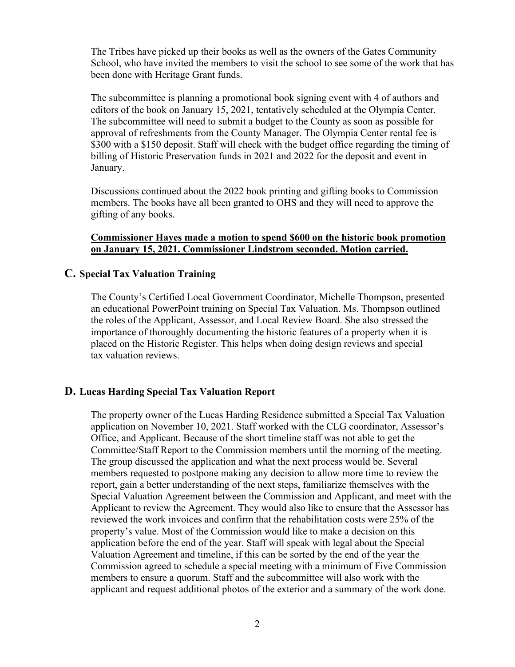The Tribes have picked up their books as well as the owners of the Gates Community School, who have invited the members to visit the school to see some of the work that has been done with Heritage Grant funds.

The subcommittee is planning a promotional book signing event with 4 of authors and editors of the book on January 15, 2021, tentatively scheduled at the Olympia Center. The subcommittee will need to submit a budget to the County as soon as possible for approval of refreshments from the County Manager. The Olympia Center rental fee is \$300 with a \$150 deposit. Staff will check with the budget office regarding the timing of billing of Historic Preservation funds in 2021 and 2022 for the deposit and event in January.

Discussions continued about the 2022 book printing and gifting books to Commission members. The books have all been granted to OHS and they will need to approve the gifting of any books.

#### **Commissioner Hayes made a motion to spend \$600 on the historic book promotion on January 15, 2021. Commissioner Lindstrom seconded. Motion carried.**

#### **C. Special Tax Valuation Training**

The County's Certified Local Government Coordinator, Michelle Thompson, presented an educational PowerPoint training on Special Tax Valuation. Ms. Thompson outlined the roles of the Applicant, Assessor, and Local Review Board. She also stressed the importance of thoroughly documenting the historic features of a property when it is placed on the Historic Register. This helps when doing design reviews and special tax valuation reviews.

#### **D. Lucas Harding Special Tax Valuation Report**

The property owner of the Lucas Harding Residence submitted a Special Tax Valuation application on November 10, 2021. Staff worked with the CLG coordinator, Assessor's Office, and Applicant. Because of the short timeline staff was not able to get the Committee/Staff Report to the Commission members until the morning of the meeting. The group discussed the application and what the next process would be. Several members requested to postpone making any decision to allow more time to review the report, gain a better understanding of the next steps, familiarize themselves with the Special Valuation Agreement between the Commission and Applicant, and meet with the Applicant to review the Agreement. They would also like to ensure that the Assessor has reviewed the work invoices and confirm that the rehabilitation costs were 25% of the property's value. Most of the Commission would like to make a decision on this application before the end of the year. Staff will speak with legal about the Special Valuation Agreement and timeline, if this can be sorted by the end of the year the Commission agreed to schedule a special meeting with a minimum of Five Commission members to ensure a quorum. Staff and the subcommittee will also work with the applicant and request additional photos of the exterior and a summary of the work done.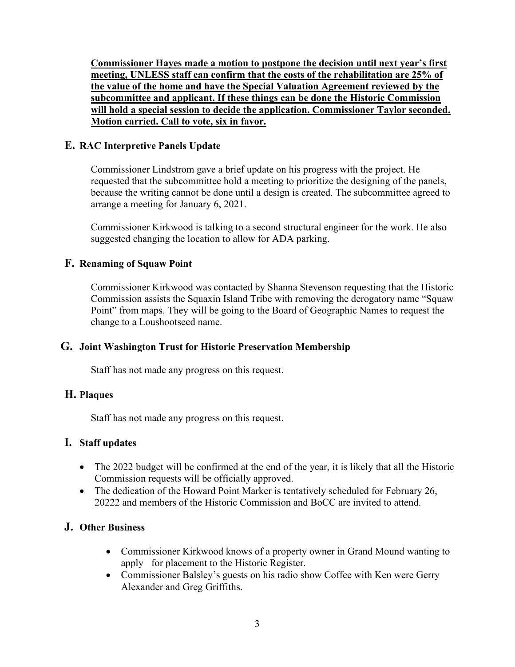**Commissioner Hayes made a motion to postpone the decision until next year's first meeting, UNLESS staff can confirm that the costs of the rehabilitation are 25% of the value of the home and have the Special Valuation Agreement reviewed by the subcommittee and applicant. If these things can be done the Historic Commission will hold a special session to decide the application. Commissioner Taylor seconded. Motion carried. Call to vote, six in favor.**

## **E. RAC Interpretive Panels Update**

Commissioner Lindstrom gave a brief update on his progress with the project. He requested that the subcommittee hold a meeting to prioritize the designing of the panels, because the writing cannot be done until a design is created. The subcommittee agreed to arrange a meeting for January 6, 2021.

Commissioner Kirkwood is talking to a second structural engineer for the work. He also suggested changing the location to allow for ADA parking.

## **F. Renaming of Squaw Point**

Commissioner Kirkwood was contacted by Shanna Stevenson requesting that the Historic Commission assists the Squaxin Island Tribe with removing the derogatory name "Squaw Point" from maps. They will be going to the Board of Geographic Names to request the change to a Loushootseed name.

#### **G. Joint Washington Trust for Historic Preservation Membership**

Staff has not made any progress on this request.

### **H. Plaques**

Staff has not made any progress on this request.

#### **I. Staff updates**

- The 2022 budget will be confirmed at the end of the year, it is likely that all the Historic Commission requests will be officially approved.
- The dedication of the Howard Point Marker is tentatively scheduled for February 26, 20222 and members of the Historic Commission and BoCC are invited to attend.

## **J. Other Business**

- Commissioner Kirkwood knows of a property owner in Grand Mound wanting to apply for placement to the Historic Register.
- Commissioner Balsley's guests on his radio show Coffee with Ken were Gerry Alexander and Greg Griffiths.